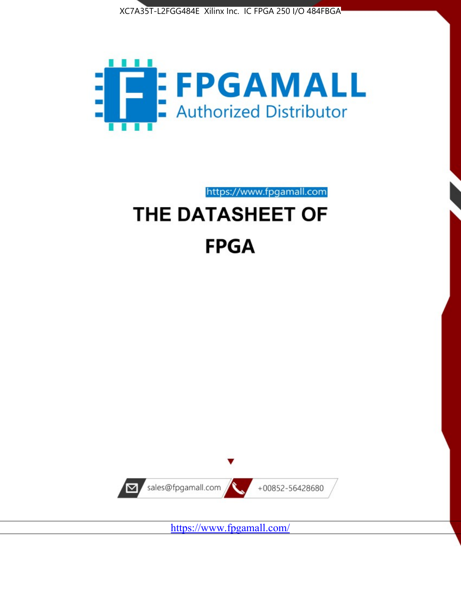



https://www.fpgamall.com THE DATASHEET OF

# **FPGA**



<https://www.fpgamall.com/>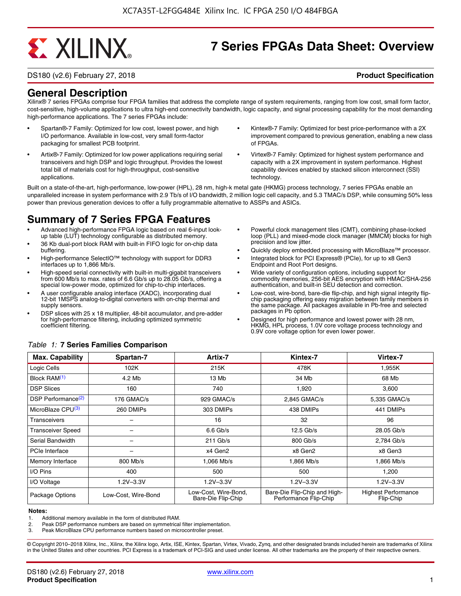# **EXALINX**

# **7 Series FPGAs Data Sheet: Overview**

DS180 (v2.6) February 27, 2018 **Product Specification**

## **General Description**

Xilinx® 7 series FPGAs comprise four FPGA families that address the complete range of system requirements, ranging from low cost, small form factor, cost-sensitive, high-volume applications to ultra high-end connectivity bandwidth, logic capacity, and signal processing capability for the most demanding high-performance applications. The 7 series FPGAs include:

- Spartan®-7 Family: Optimized for low cost, lowest power, and high I/O performance. Available in low-cost, very small form-factor packaging for smallest PCB footprint.
- Artix®-7 Family: Optimized for low power applications requiring serial transceivers and high DSP and logic throughput. Provides the lowest total bill of materials cost for high-throughput, cost-sensitive applications.
- Kintex®-7 Family: Optimized for best price-performance with a 2X improvement compared to previous generation, enabling a new class of FPGAs.
- Virtex®-7 Family: Optimized for highest system performance and capacity with a 2X improvement in system performance. Highest capability devices enabled by stacked silicon interconnect (SSI) technology

Built on a state-of-the-art, high-performance, low-power (HPL), 28 nm, high-k metal gate (HKMG) process technology, 7 series FPGAs enable an unparalleled increase in system performance with 2.9 Tb/s of I/O bandwidth, 2 million logic cell capacity, and 5.3 TMAC/s DSP, while consuming 50% less power than previous generation devices to offer a fully programmable alternative to ASSPs and ASICs.

# **Summary of 7 Series FPGA Features**

- Advanced high-performance FPGA logic based on real 6-input lookup table (LUT) technology configurable as distributed memory.
- 36 Kb dual-port block RAM with built-in FIFO logic for on-chip data buffering.
- High-performance SelectIO™ technology with support for DDR3 interfaces up to 1,866 Mb/s.
- High-speed serial connectivity with built-in multi-gigabit transceivers from 600 Mb/s to max. rates of 6.6 Gb/s up to 28.05 Gb/s, offering a special low-power mode, optimized for chip-to-chip interfaces.
- A user configurable analog interface (XADC), incorporating dual 12-bit 1MSPS analog-to-digital converters with on-chip thermal and supply sensors.
- DSP slices with 25 x 18 multiplier, 48-bit accumulator, and pre-adder for high-performance filtering, including optimized symmetric coefficient filtering.
- Powerful clock management tiles (CMT), combining phase-locked loop (PLL) and mixed-mode clock manager (MMCM) blocks for high precision and low jitter.
- Quickly deploy embedded processing with MicroBlaze™ processor.
- Integrated block for PCI Express® (PCIe), for up to x8 Gen3 Endpoint and Root Port designs.
- Wide variety of configuration options, including support for commodity memories, 256-bit AES encryption with HMAC/SHA-256 authentication, and built-in SEU detection and correction.
- Low-cost, wire-bond, bare-die flip-chip, and high signal integrity flipchip packaging offering easy migration between family members in the same package. All packages available in Pb-free and selected packages in Pb option.
- Designed for high performance and lowest power with 28 nm, HKMG, HPL process, 1.0V core voltage process technology and 0.9V core voltage option for even lower power.

| <b>Max. Capability</b>         | Spartan-7           | Artix-7                                    | Kintex-7                                              | Virtex-7                                |
|--------------------------------|---------------------|--------------------------------------------|-------------------------------------------------------|-----------------------------------------|
| Logic Cells                    | 102K                | 215K                                       | 478K                                                  | 1,955K                                  |
| Block RAM <sup>(1)</sup>       | 4.2 Mb              | 13 Mb                                      | 34 Mb                                                 | 68 Mb                                   |
| <b>DSP Slices</b>              | 160                 | 740                                        | 1,920                                                 | 3,600                                   |
| DSP Performance <sup>(2)</sup> | 176 GMAC/s          | 929 GMAC/s                                 | 2,845 GMAC/s                                          | 5,335 GMAC/s                            |
| MicroBlaze CPU <sup>(3)</sup>  | 260 DMIPs           | 303 DMIPs                                  | 438 DMIPs                                             | 441 DMIPs                               |
| Transceivers                   |                     | 16                                         | 32                                                    | 96                                      |
| <b>Transceiver Speed</b>       |                     | $6.6$ Gb/s                                 | $12.5$ Gb/s                                           | 28.05 Gb/s                              |
| Serial Bandwidth               |                     | $211$ Gb/s                                 | 800 Gb/s                                              | 2,784 Gb/s                              |
| <b>PCIe Interface</b>          | -                   | x4 Gen2                                    | x8 Gen2                                               | x8 Gen3                                 |
| Memory Interface               | 800 Mb/s            | 1.066 Mb/s                                 | 1.866 Mb/s                                            | 1.866 Mb/s                              |
| I/O Pins                       | 400                 | 500                                        | 500                                                   | 1,200                                   |
| I/O Voltage                    | $1.2V - 3.3V$       | $1.2V - 3.3V$                              | $1.2V - 3.3V$                                         | $1.2V - 3.3V$                           |
| Package Options                | Low-Cost. Wire-Bond | Low-Cost, Wire-Bond,<br>Bare-Die Flip-Chip | Bare-Die Flip-Chip and High-<br>Performance Flip-Chip | <b>Highest Performance</b><br>Flip-Chip |

#### *Table 1:* **7 Series Families Comparison**

#### **Notes:**

1. Additional memory available in the form of distributed RAM.

2. Peak DSP performance numbers are based on symmetrical filter implementation.<br>3. Peak MicroBlaze CPU performance numbers based on microcontroller preset.

Peak MicroBlaze CPU performance numbers based on microcontroller preset.

© Copyright 2010–2018 Xilinx, Inc., Xilinx, the Xilinx logo, Artix, ISE, Kintex, Spartan, Virtex, Vivado, Zynq, and other designated brands included herein are trademarks of Xilinx in the United States and other countries. PCI Express is a trademark of PCI-SIG and used under license. All other trademarks are the property of their respective owners.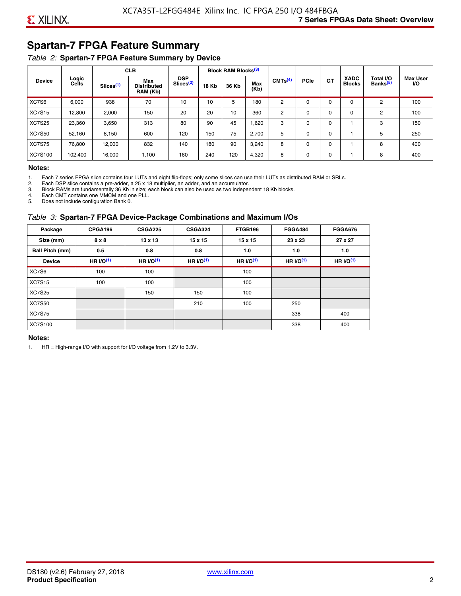# **Spartan-7 FPGA Feature Summary**

#### *Table 2:* **Spartan-7 FPGA Feature Summary by Device**

|               |                       |                       | <b>CLB</b>                            |                                     |              | <b>Block RAM Blocks</b> <sup>(3)</sup> |             |                     |             |             |                              |                                   |                              |
|---------------|-----------------------|-----------------------|---------------------------------------|-------------------------------------|--------------|----------------------------------------|-------------|---------------------|-------------|-------------|------------------------------|-----------------------------------|------------------------------|
| <b>Device</b> | Logic<br><b>Cells</b> | Slices <sup>(1)</sup> | Max<br><b>Distributed</b><br>RAM (Kb) | <b>DSP</b><br>Slices <sup>(2)</sup> | <b>18 Kb</b> | 36 Kb                                  | Max<br>(Kb) | CMTS <sup>(4)</sup> | <b>PCIe</b> | <b>GT</b>   | <b>XADC</b><br><b>Blocks</b> | Total I/O<br>Banks <sup>(5)</sup> | <b>Max User</b><br><b>VO</b> |
| XC7S6         | 6,000                 | 938                   | 70                                    | 10                                  | 10           | 5                                      | 180         | 2                   | 0           | $\Omega$    | $\Omega$                     | 2                                 | 100                          |
| <b>XC7S15</b> | 12,800                | 2,000                 | 150                                   | 20                                  | 20           | 10                                     | 360         | 2                   | $\Omega$    | 0           | 0                            | 2                                 | 100                          |
| <b>XC7S25</b> | 23,360                | 3,650                 | 313                                   | 80                                  | 90           | 45                                     | .620        | 3                   | 0           | $\mathbf 0$ |                              | 3                                 | 150                          |
| <b>XC7S50</b> | 52,160                | 8,150                 | 600                                   | 120                                 | 150          | 75                                     | 2,700       | 5                   | $\Omega$    | $\Omega$    |                              | 5                                 | 250                          |
| <b>XC7S75</b> | 76,800                | 12.000                | 832                                   | 140                                 | 180          | 90                                     | 3,240       | 8                   | $\Omega$    | $\mathbf 0$ |                              | 8                                 | 400                          |
| XC7S100       | 102.400               | 16.000                | 1,100                                 | 160                                 | 240          | 120                                    | 4,320       | 8                   | 0           | $\mathbf 0$ |                              | 8                                 | 400                          |

#### **Notes:**

1. Each 7 series FPGA slice contains four LUTs and eight flip-flops; only some slices can use their LUTs as distributed RAM or SRLs.<br>2. Each DSP slice contains a pre-adder. a 25 x 18 multiplier. an adder. and an accumulato

2. Each DSP slice contains a pre-adder, a 25 x 18 multiplier, an adder, and an accumulator. 3. Block RAMs are fundamentally 36 Kb in size; each block can also be used as two independent 18 Kb blocks.

4. Each CMT contains one MMCM and one PLL.

5. Does not include configuration Bank 0.

#### *Table 3:* **Spartan-7 FPGA Device-Package Combinations and Maximum I/Os**

| Package         | CPGA196    | <b>CSGA225</b> | <b>CSGA324</b> | FTGB196     | <b>FGGA484</b> | <b>FGGA676</b> |
|-----------------|------------|----------------|----------------|-------------|----------------|----------------|
| Size (mm)       | 8 x 8      | $13 \times 13$ | $15 \times 15$ | 15 x 15     | 23 x 23        | 27 x 27        |
| Ball Pitch (mm) | 0.5        | 0.8            | 0.8            | 1.0         | 1.0            | 1.0            |
| <b>Device</b>   | HR $UO(1)$ | HR $UO(1)$     | HR $UO(1)$     | HR $l/O(1)$ | HR $I/O(1)$    | HR $l/O(1)$    |
| XC7S6           | 100        | 100            |                | 100         |                |                |
| <b>XC7S15</b>   | 100        | 100            |                | 100         |                |                |
| <b>XC7S25</b>   |            | 150            | 150            | 100         |                |                |
| <b>XC7S50</b>   |            |                | 210            | 100         | 250            |                |
| <b>XC7S75</b>   |            |                |                |             | 338            | 400            |
| <b>XC7S100</b>  |            |                |                |             | 338            | 400            |

#### **Notes:**

1. HR = High-range I/O with support for I/O voltage from 1.2V to 3.3V.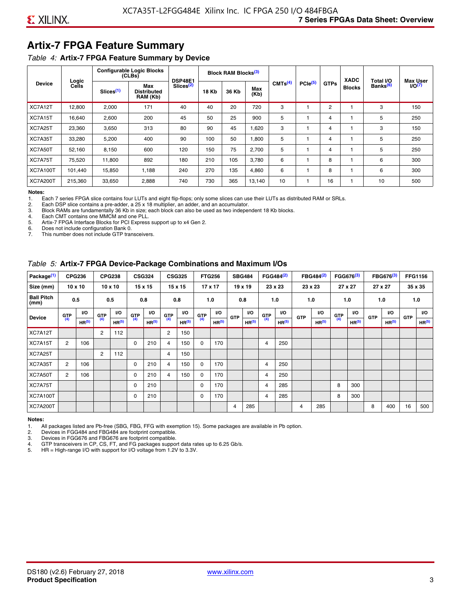# **Artix-7 FPGA Feature Summary**

#### *Table 4:* **Artix-7 FPGA Feature Summary by Device**

|                 |                |                       | <b>Configurable Logic Blocks</b><br>(CLBs) | <b>DSP48E1</b>        |              | Block RAM Blocks <sup>(3)</sup> |             |                     |                     |             | <b>XADC</b>   | Total I/O            | <b>Max User</b>    |
|-----------------|----------------|-----------------------|--------------------------------------------|-----------------------|--------------|---------------------------------|-------------|---------------------|---------------------|-------------|---------------|----------------------|--------------------|
| <b>Device</b>   | Logic<br>Cells | Slices <sup>(1)</sup> | Max<br><b>Distributed</b><br>RAM (Kb)      | Slices <sup>(2)</sup> | <b>18 Kb</b> | 36 Kb                           | Max<br>(Kb) | CMTS <sup>(4)</sup> | PCie <sup>(5)</sup> | <b>GTPs</b> | <b>Blocks</b> | Banks <sup>(6)</sup> | I/O <sub>(7)</sub> |
| XC7A12T         | 12,800         | 2,000                 | 171                                        | 40                    | 40           | 20                              | 720         | 3                   |                     | 2           |               | 3                    | 150                |
| XC7A15T         | 16,640         | 2,600                 | 200                                        | 45                    | 50           | 25                              | 900         | 5                   |                     | 4           |               | 5                    | 250                |
| XC7A25T         | 23,360         | 3,650                 | 313                                        | 80                    | 90           | 45                              | .620        | 3                   |                     | 4           |               | 3                    | 150                |
| XC7A35T         | 33,280         | 5,200                 | 400                                        | 90                    | 100          | 50                              | 1,800       | 5                   |                     | 4           |               | 5                    | 250                |
| XC7A50T         | 52,160         | 8.150                 | 600                                        | 120                   | 150          | 75                              | 2.700       | 5                   |                     | 4           |               | 5                    | 250                |
| XC7A75T         | 75,520         | 11,800                | 892                                        | 180                   | 210          | 105                             | 3,780       | 6                   |                     | 8           |               | 6                    | 300                |
| <b>XC7A100T</b> | 101.440        | 15,850                | 1.188                                      | 240                   | 270          | 135                             | 4,860       | 6                   |                     | 8           |               | 6                    | 300                |
| <b>XC7A200T</b> | 215,360        | 33,650                | 2,888                                      | 740                   | 730          | 365                             | 13,140      | 10                  |                     | 16          |               | 10                   | 500                |

**Notes:**  Each 7 series FPGA slice contains four LUTs and eight flip-flops; only some slices can use their LUTs as distributed RAM or SRLs.

2. Each DSP slice contains a pre-adder, a 25 x 18 multiplier, an adder, and an accumulator.

3. Block RAMs are fundamentally 36 Kb in size; each block can also be used as two independent 18 Kb blocks.

4. Each CMT contains one MMCM and one PLL.<br>5. Artix-7 FPGA Interface Blocks for PCI Express

5. Artix-7 FPGA Interface Blocks for PCI Express support up to x4 Gen 2.<br>6. Does not include configuration Bank 0.

6. Does not include configuration Bank 0.

This number does not include GTP transceivers.

#### *Table 5:* **Artix-7 FPGA Device-Package Combinations and Maximum I/Os**

| Package <sup>(1)</sup>    |            | <b>CPG236</b>     |                | <b>CPG238</b>  |            | <b>CSG324</b> |                | <b>CSG325</b>     |       | <b>FTG256</b>     |            | <b>SBG484</b>     |                | FGG484 <sup>(2)</sup> |                | FBG484 <sup>(2)</sup> |       | FGG676 <sup>(3)</sup> |            | FBG676 <sup>(3)</sup> |            | <b>FFG1156</b> |
|---------------------------|------------|-------------------|----------------|----------------|------------|---------------|----------------|-------------------|-------|-------------------|------------|-------------------|----------------|-----------------------|----------------|-----------------------|-------|-----------------------|------------|-----------------------|------------|----------------|
| Size (mm)                 |            | $10 \times 10$    |                | $10 \times 10$ |            | 15 x 15       |                | 15 x 15           |       | $17 \times 17$    |            | $19 \times 19$    |                | 23 x 23               |                | 23 x 23               |       | 27 x 27               |            | 27 x 27               |            | 35 x 35        |
| <b>Ball Pitch</b><br>(mm) |            | 0.5               |                | 0.5            |            | 0.8           | 0.8            |                   |       | 1.0               |            | 0.8               |                | 1.0                   |                | 1.0                   |       | 1.0                   |            | 1.0                   |            | 1.0            |
| <b>Device</b>             | <b>GTP</b> | <b>VO</b>         | <b>GTP</b>     | <b>VO</b>      | <b>GTP</b> | <b>VO</b>     | <b>GTP</b>     | <b>VO</b>         | G(TP) | VO.               | <b>GTP</b> | VO.               | G(TP)          | <b>VO</b>             | <b>GTP</b>     | <b>VO</b>             | G(TP) | <b>VO</b>             | <b>GTP</b> | <b>VO</b>             | <b>GTP</b> | <b>VO</b>      |
|                           | (4)        | HR <sup>(5)</sup> | (4)            | HR(5)          | (4)        | HP(5)         | (4)            | HR <sup>(5)</sup> |       | HR <sup>(5)</sup> |            | HR <sup>(5)</sup> |                | HR <sup>(5)</sup>     |                | HR <sup>(5)</sup>     |       | HR <sup>(5)</sup>     |            | HR <sup>(5)</sup>     |            | HR(5)          |
| XC7A12T                   |            |                   | $\overline{2}$ | 112            |            |               | $\overline{2}$ | 150               |       |                   |            |                   |                |                       |                |                       |       |                       |            |                       |            |                |
| XC7A15T                   | 2          | 106               |                |                | 0          | 210           | 4              | 150               | 0     | 170               |            |                   | $\overline{4}$ | 250                   |                |                       |       |                       |            |                       |            |                |
| XC7A25T                   |            |                   | 2              | 112            |            |               | 4              | 150               |       |                   |            |                   |                |                       |                |                       |       |                       |            |                       |            |                |
| XC7A35T                   | 2          | 106               |                |                | 0          | 210           | 4              | 150               | 0     | 170               |            |                   | 4              | 250                   |                |                       |       |                       |            |                       |            |                |
| XC7A50T                   | 2          | 106               |                |                | 0          | 210           | 4              | 150               | 0     | 170               |            |                   | 4              | 250                   |                |                       |       |                       |            |                       |            |                |
| XC7A75T                   |            |                   |                |                | 0          | 210           |                |                   | 0     | 170               |            |                   | 4              | 285                   |                |                       | 8     | 300                   |            |                       |            |                |
| <b>XC7A100T</b>           |            |                   |                |                | 0          | 210           |                |                   | 0     | 170               |            |                   | $\overline{4}$ | 285                   |                |                       | 8     | 300                   |            |                       |            |                |
| <b>XC7A200T</b>           |            |                   |                |                |            |               |                |                   |       |                   | 4          | 285               |                |                       | $\overline{4}$ | 285                   |       |                       | 8          | 400                   | 16         | 500            |

#### **Notes:**

1. All packages listed are Pb-free (SBG, FBG, FFG with exemption 15). Some packages are available in Pb option.

2. Devices in FGG484 and FBG484 are footprint compatible.

3. Devices in FGG676 and FBG676 are footprint compatible.

4. GTP transceivers in CP, CS, FT, and FG packages support data rates up to 6.25 Gb/s.<br>5. HR = High-range I/O with support for I/O voltage from 1.2V to 3.3V.

HR = High-range I/O with support for I/O voltage from 1.2V to 3.3V.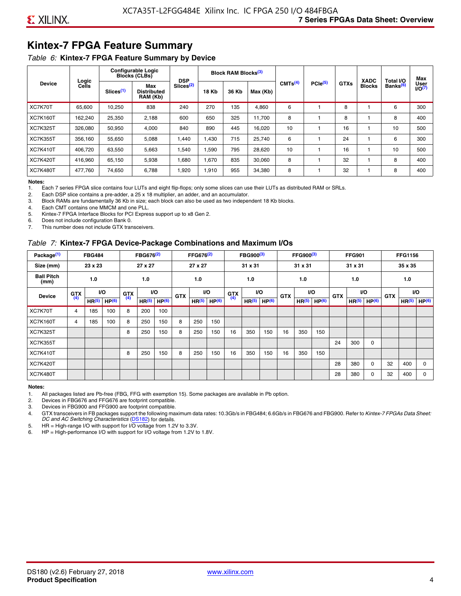# **Kintex-7 FPGA Feature Summary**

#### *Table 6:* **Kintex-7 FPGA Feature Summary by Device**

|                 |                |                       | <b>Configurable Logic</b><br><b>Blocks (CLBs)</b> | <b>DSP</b>            |              | <b>Block RAM Blocks</b> <sup>(3)</sup> |          |                     |              |             | <b>XADC</b>   | Total I/O            | Max                 |
|-----------------|----------------|-----------------------|---------------------------------------------------|-----------------------|--------------|----------------------------------------|----------|---------------------|--------------|-------------|---------------|----------------------|---------------------|
| <b>Device</b>   | Logic<br>Cells | Slices <sup>(1)</sup> | Max<br><b>Distributed</b><br>RAM (Kb)             | Slices <sup>(2)</sup> | <b>18 Kb</b> | 36 Kb                                  | Max (Kb) | CMTS <sup>(4)</sup> | $PCle^{(5)}$ | <b>GTXs</b> | <b>Blocks</b> | Banks <sup>(6)</sup> | User<br>$U$ O $(7)$ |
| XC7K70T         | 65,600         | 10,250                | 838                                               | 240                   | 270          | 135                                    | 4,860    | 6                   |              | 8           |               | 6                    | 300                 |
| <b>XC7K160T</b> | 162,240        | 25,350                | 2,188                                             | 600                   | 650          | 325                                    | 11,700   | 8                   |              | 8           |               | 8                    | 400                 |
| <b>XC7K325T</b> | 326.080        | 50.950                | 4,000                                             | 840                   | 890          | 445                                    | 16,020   | 10                  |              | 16          |               | 10                   | 500                 |
| <b>XC7K355T</b> | 356.160        | 55,650                | 5,088                                             | 1,440                 | 1.430        | 715                                    | 25,740   | 6                   |              | 24          |               | 6                    | 300                 |
| <b>XC7K410T</b> | 406,720        | 63,550                | 5,663                                             | 1,540                 | 1,590        | 795                                    | 28,620   | 10                  |              | 16          |               | 10                   | 500                 |
| <b>XC7K420T</b> | 416,960        | 65,150                | 5,938                                             | 1,680                 | 1,670        | 835                                    | 30,060   | 8                   |              | 32          |               | 8                    | 400                 |
| <b>XC7K480T</b> | 477.760        | 74,650                | 6,788                                             | 1,920                 | 1,910        | 955                                    | 34,380   | 8                   |              | 32          |               | 8                    | 400                 |

#### **Notes:**

1. Each 7 series FPGA slice contains four LUTs and eight flip-flops; only some slices can use their LUTs as distributed RAM or SRLs.<br>2. Each DSP slice contains a pre-adder, a 25 x 18 multiplier, an adder, and an accumulato

Each DSP slice contains a pre-adder, a 25 x 18 multiplier, an adder, and an accumulator.

3. Block RAMs are fundamentally 36 Kb in size; each block can also be used as two independent 18 Kb blocks.

4. Each CMT contains one MMCM and one PLL.

5. Kintex-7 FPGA Interface Blocks for PCI Express support up to x8 Gen 2.

6. Does not include configuration Bank 0.

7. This number does not include GTX transceivers.

#### *Table 7:* **Kintex-7 FPGA Device-Package Combinations and Maximum I/Os**

| Package <sup>(1)</sup>    |            | <b>FBG484</b>     |                   |            | FBG676 <sup>(2)</sup> |                   |            | FFG676 <sup>(2)</sup> |                   |            | FBG900 <sup>(3)</sup> |           |            | FFG900 <sup>(3)</sup> |                   |            | <b>FFG901</b>     |                   |            | <b>FFG1156</b>    |                   |
|---------------------------|------------|-------------------|-------------------|------------|-----------------------|-------------------|------------|-----------------------|-------------------|------------|-----------------------|-----------|------------|-----------------------|-------------------|------------|-------------------|-------------------|------------|-------------------|-------------------|
| Size (mm)                 |            | 23 x 23           |                   |            | 27 x 27               |                   |            | 27 x 27               |                   |            | 31 x 31               |           |            | 31 x 31               |                   |            | 31 x 31           |                   |            | 35 x 35           |                   |
| <b>Ball Pitch</b><br>(mm) |            | 1.0               |                   |            | 1.0                   |                   |            | 1.0                   |                   |            | 1.0                   |           |            | 1.0                   |                   |            | 1.0               |                   |            | 1.0               |                   |
| <b>Device</b>             | <b>GTX</b> |                   | VO.               | <b>GTX</b> | <b>VO</b>             |                   | <b>GTX</b> |                       | <b>VO</b>         | <b>GTX</b> |                       | <b>VO</b> | <b>GTX</b> | <b>VO</b>             |                   | <b>GTX</b> |                   | VO                | <b>GTX</b> | <b>VO</b>         |                   |
|                           | (4)        | HR <sup>(5)</sup> | HP <sup>(6)</sup> | (4)        | HR <sup>(5)</sup>     | HP <sup>(6)</sup> |            | HR <sup>(5)</sup>     | HP <sup>(6)</sup> | (4)        | HR <sup>(5)</sup>     | HP(6)     |            | HR <sup>(5)</sup>     | HP <sup>(6)</sup> |            | HR <sup>(5)</sup> | HP <sup>(6)</sup> |            | HR <sup>(5)</sup> | HP <sup>(6)</sup> |
| XC7K70T                   | 4          | 185               | 100               | 8          | 200                   | 100               |            |                       |                   |            |                       |           |            |                       |                   |            |                   |                   |            |                   |                   |
| <b>XC7K160T</b>           | 4          | 185               | 100               | 8          | 250                   | 150               | 8          | 250                   | 150               |            |                       |           |            |                       |                   |            |                   |                   |            |                   |                   |
| <b>XC7K325T</b>           |            |                   |                   | 8          | 250                   | 150               | 8          | 250                   | 150               | 16         | 350                   | 150       | 16         | 350                   | 150               |            |                   |                   |            |                   |                   |
| <b>XC7K355T</b>           |            |                   |                   |            |                       |                   |            |                       |                   |            |                       |           |            |                       |                   | 24         | 300               | 0                 |            |                   |                   |
| <b>XC7K410T</b>           |            |                   |                   | 8          | 250                   | 150               | 8          | 250                   | 150               | 16         | 350                   | 150       | 16         | 350                   | 150               |            |                   |                   |            |                   |                   |
| <b>XC7K420T</b>           |            |                   |                   |            |                       |                   |            |                       |                   |            |                       |           |            |                       |                   | 28         | 380               | $\Omega$          | 32         | 400               | $\Omega$          |
| <b>XC7K480T</b>           |            |                   |                   |            |                       |                   |            |                       |                   |            |                       |           |            |                       |                   | 28         | 380               | 0                 | 32         | 400               | $\Omega$          |

#### **Notes:**

1. All packages listed are Pb-free (FBG, FFG with exemption 15). Some packages are available in Pb option.

2. Devices in FBG676 and FFG676 are footprint compatible.

3. Devices in FBG900 and FFG900 are footprint compatible. 4. GTX transceivers in FB packages support the following maximum data rates: 10.3Gb/s in FBG484; 6.6Gb/s in FBG676 and FBG900. Refer to *Kintex-7 FPGAs Data Sheet: DC and AC Switching Characteristics* [\(DS182](https://www.xilinx.com/support/documentation/data_sheets/ds182_Kintex_7_Data_Sheet.pdf)) for details.

5. HR = High-range I/O with support for I/O voltage from 1.2V to 3.3V.

6. HP = High-performance I/O with support for I/O voltage from 1.2V to 1.8V.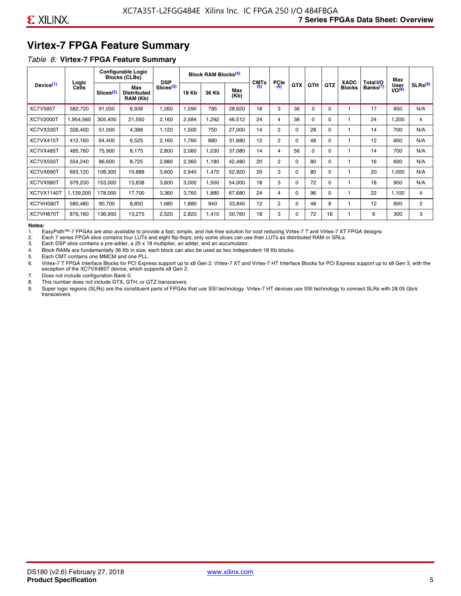# **Virtex-7 FPGA Feature Summary**

#### *Table 8:* **Virtex-7 FPGA Feature Summary**

|                       |                       |                       | <b>Configurable Logic</b><br><b>Blocks (CLBs)</b> | <b>DSP</b>            |       | <b>Block RAM Blocks</b> <sup>(4)</sup> |             | <b>CMTs</b> | <b>PCIe</b>    |            |            |            | <b>XADC</b>   | Total I/O            | Max                        |                     |
|-----------------------|-----------------------|-----------------------|---------------------------------------------------|-----------------------|-------|----------------------------------------|-------------|-------------|----------------|------------|------------|------------|---------------|----------------------|----------------------------|---------------------|
| Device <sup>(1)</sup> | Logic<br><b>Cells</b> | Slices <sup>(2)</sup> | Max<br><b>Distributed</b><br>RAM (Kb)             | Slices <sup>(3)</sup> | 18 Kb | 36 Kb                                  | Max<br>(Kb) | (5)         | (6)            | <b>GTX</b> | <b>GTH</b> | <b>GTZ</b> | <b>Blocks</b> | Banks <sup>(7)</sup> | <b>User</b><br>$1/O^{(8)}$ | SLRs <sup>(9)</sup> |
| <b>XC7V585T</b>       | 582.720               | 91,050                | 6,938                                             | .260                  | ,590  | 795                                    | 28,620      | 18          | 3              | 36         | 0          | $\Omega$   |               | 17                   | 850                        | N/A                 |
| <b>XC7V2000T</b>      | 1,954,560             | 305,400               | 21,550                                            | 2,160                 | 2,584 | ,292                                   | 46,512      | 24          | 4              | 36         | 0          | 0          |               | 24                   | ,200                       | 4                   |
| XC7VX330T             | 326,400               | 51,000                | 4,388                                             | 1,120                 | 1,500 | 750                                    | 27,000      | 14          | $\overline{2}$ | 0          | 28         | O          |               | 14                   | 700                        | N/A                 |
| XC7VX415T             | 412,160               | 64,400                | 6,525                                             | 2,160                 | 1.760 | 880                                    | 31,680      | 12          | $\overline{2}$ | $\Omega$   | 48         | $\Omega$   |               | 12                   | 600                        | N/A                 |
| XC7VX485T             | 485,760               | 75,900                | 8,175                                             | 2,800                 | 2,060 | 1,030                                  | 37,080      | 14          | 4              | 56         | $\Omega$   | 0          |               | 14                   | 700                        | N/A                 |
| XC7VX550T             | 554,240               | 86,600                | 8,725                                             | 2,880                 | 2,360 | 1,180                                  | 42,480      | 20          | $\overline{2}$ | $\Omega$   | 80         | $\Omega$   |               | 16                   | 600                        | N/A                 |
| XC7VX690T             | 693,120               | 108,300               | 10,888                                            | 3,600                 | 2,940 | 1,470                                  | 52,920      | 20          | 3              | 0          | 80         | 0          |               | 20                   | 1,000                      | N/A                 |
| XC7VX980T             | 979,200               | 153,000               | 13,838                                            | 3,600                 | 3,000 | 1,500                                  | 54,000      | 18          | 3              | 0          | 72         | 0          |               | 18                   | 900                        | N/A                 |
| <b>XC7VX1140T</b>     | 1,139,200             | 178,000               | 17.700                                            | 3,360                 | 3,760 | ,880                                   | 67,680      | 24          | 4              | $\Omega$   | 96         | $\Omega$   |               | 22                   | 1.100                      | 4                   |
| XC7VH580T             | 580,480               | 90,700                | 8,850                                             | <b>680</b>            | 1,880 | 940                                    | 33,840      | 12          | $\overline{c}$ | 0          | 48         | 8          |               | 12                   | 600                        | $\overline{c}$      |
| XC7VH870T             | 876,160               | 136,900               | 13,275                                            | 2,520                 | 2,820 | 1,410                                  | 50,760      | 18          | 3              | 0          | 72         | 16         |               | 6                    | 300                        | 3                   |

#### **Notes:**

1. EasyPath™-7 FPGAs are also available to provide a fast, simple, and risk-free solution for cost reducing Virtex-7 T and Virtex-7 XT FPGA designs

2. Each 7 series FPGA slice contains four LUTs and eight flip-flops; only some slices can use their LUTs as distributed RAM or SRLs.

Each DSP slice contains a pre-adder, a 25 x 18 multiplier, an adder, and an accumulator.

4. Block RAMs are fundamentally 36 Kb in size; each block can also be used as two independent 18 Kb blocks.

5. Each CMT contains one MMCM and one PLL.

6. Virtex-7 T FPGA Interface Blocks for PCI Express support up to x8 Gen 2. Virtex-7 XT and Virtex-7 HT Interface Blocks for PCI Express support up to x8 Gen 3, with the exception of the XC7VX485T device, which supports x8 Gen 2.

7. Does not include configuration Bank 0.

8. This number does not include GTX, GTH, or GTZ transceivers.

9. Super logic regions (SLRs) are the constituent parts of FPGAs that use SSI technology. Virtex-7 HT devices use SSI technology to connect SLRs with 28.05 Gb/s transceivers.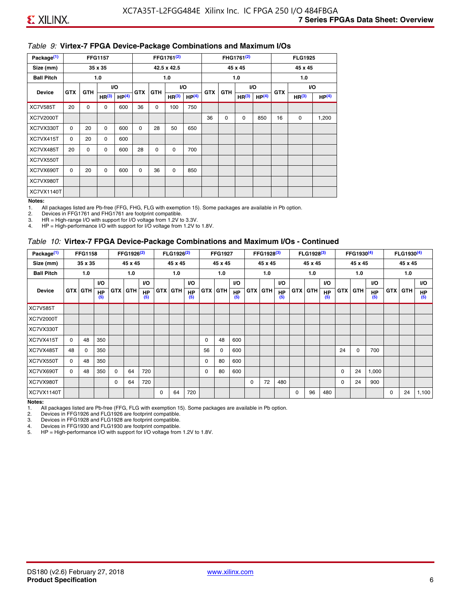#### *Table 9:* **Virtex-7 FPGA Device-Package Combinations and Maximum I/Os**

| Package <sup>(1)</sup> |            |            | <b>FFG1157</b>    |                   |            |            | FFG1761 <sup>(2)</sup> |                   |            |            | FHG1761 <sup>(2)</sup> |                   |            | <b>FLG1925</b>    |                   |
|------------------------|------------|------------|-------------------|-------------------|------------|------------|------------------------|-------------------|------------|------------|------------------------|-------------------|------------|-------------------|-------------------|
| Size (mm)              |            |            | 35 x 35           |                   |            |            | 42.5 x 42.5            |                   |            |            | 45 x 45                |                   |            | 45 x 45           |                   |
| <b>Ball Pitch</b>      |            |            | 1.0               |                   |            |            | 1.0                    |                   |            |            | 1.0                    |                   |            | 1.0               |                   |
| <b>Device</b>          | <b>GTX</b> | <b>GTH</b> |                   | I/O               | <b>GTX</b> | <b>GTH</b> |                        | I/O               | <b>GTX</b> | <b>GTH</b> | VO.                    |                   | <b>GTX</b> |                   | VO.               |
|                        |            |            | HR <sup>(3)</sup> | HP <sup>(4)</sup> |            |            | HR <sup>(3)</sup>      | HP <sup>(4)</sup> |            |            | HR <sup>(3)</sup>      | HP <sup>(4)</sup> |            | HR <sup>(3)</sup> | HP <sup>(4)</sup> |
| <b>XC7V585T</b>        | 20         | $\Omega$   | $\Omega$          | 600               | 36         | 0          | 100                    | 750               |            |            |                        |                   |            |                   |                   |
| XC7V2000T              |            |            |                   |                   |            |            |                        |                   | 36         | 0          | 0                      | 850               | 16         | 0                 | 1,200             |
| XC7VX330T              | $\Omega$   | 20         | $\Omega$          | 600               | 0          | 28         | 50                     | 650               |            |            |                        |                   |            |                   |                   |
| XC7VX415T              | $\Omega$   | 20         | $\Omega$          | 600               |            |            |                        |                   |            |            |                        |                   |            |                   |                   |
| XC7VX485T              | 20         | 0          | 0                 | 600               | 28         | 0          | 0                      | 700               |            |            |                        |                   |            |                   |                   |
| XC7VX550T              |            |            |                   |                   |            |            |                        |                   |            |            |                        |                   |            |                   |                   |
| XC7VX690T              | $\Omega$   | 20         | $\Omega$          | 600               | $\Omega$   | 36         | $\Omega$               | 850               |            |            |                        |                   |            |                   |                   |
| XC7VX980T              |            |            |                   |                   |            |            |                        |                   |            |            |                        |                   |            |                   |                   |
| XC7VX1140T             |            |            |                   |                   |            |            |                        |                   |            |            |                        |                   |            |                   |                   |

#### **Notes:**

1. All packages listed are Pb-free (FFG, FHG, FLG with exemption 15). Some packages are available in Pb option.

2. Devices in FFG1761 and FHG1761 are footprint compatible.<br>3. HR = High-range I/O with support for I/O voltage from 1.2V to

HR = High-range I/O with support for I/O voltage from 1.2V to 3.3V.

4. HP = High-performance I/O with support for I/O voltage from 1.2V to 1.8V.

#### *Table 10:* **Virtex-7 FPGA Device-Package Combinations and Maximum I/Os - Continued**

| Package <sup>(1)</sup> |          | <b>FFG1158</b> |                  |            | FFG1926 <sup>(2)</sup> |                  |            | FLG1926 <sup>(2)</sup> |                  |    | <b>FFG1927</b> |                  |            | FFG1928 <sup>(3)</sup> |                  |            | FLG1928 <sup>(3)</sup> |                  |            | FFG1930 <sup>(4)</sup> |           |            | FLG1930 <sup>(4)</sup> |                  |
|------------------------|----------|----------------|------------------|------------|------------------------|------------------|------------|------------------------|------------------|----|----------------|------------------|------------|------------------------|------------------|------------|------------------------|------------------|------------|------------------------|-----------|------------|------------------------|------------------|
| Size (mm)              |          | 35 x 35        |                  |            | 45 x 45                |                  |            | 45 x 45                |                  |    | 45 x 45        |                  |            | 45 x 45                |                  |            | 45 x 45                |                  |            | 45 x 45                |           |            | 45 x 45                |                  |
| <b>Ball Pitch</b>      |          | 1.0            |                  |            | 1.0                    |                  |            | 1.0                    |                  |    | 1.0            |                  |            | 1.0                    |                  |            | 1.0                    |                  |            | 1.0                    |           |            | 1.0                    |                  |
|                        |          |                | <b>VO</b>        |            |                        | <b>VO</b>        |            |                        | VO.              |    |                | <b>VO</b>        |            |                        | <b>VO</b>        |            |                        | <b>VO</b>        |            |                        | <b>VO</b> |            |                        | <b>VO</b>        |
| <b>Device</b>          |          | <b>GTX GTH</b> | <b>HP</b><br>(5) | <b>GTX</b> | <b>GTH</b>             | <b>HP</b><br>(5) | <b>GTX</b> | <b>GTH</b>             | <b>HP</b><br>(5) |    | <b>GTX GTH</b> | <b>HP</b><br>(5) | <b>GTX</b> | <b>GTH</b>             | <b>HP</b><br>(5) | <b>GTX</b> | <b>GTH</b>             | <b>HP</b><br>(5) | <b>GTX</b> | GTH                    | HP<br>(5) | <b>GTX</b> | GTH                    | <b>HP</b><br>(5) |
| <b>XC7V585T</b>        |          |                |                  |            |                        |                  |            |                        |                  |    |                |                  |            |                        |                  |            |                        |                  |            |                        |           |            |                        |                  |
| <b>XC7V2000T</b>       |          |                |                  |            |                        |                  |            |                        |                  |    |                |                  |            |                        |                  |            |                        |                  |            |                        |           |            |                        |                  |
| XC7VX330T              |          |                |                  |            |                        |                  |            |                        |                  |    |                |                  |            |                        |                  |            |                        |                  |            |                        |           |            |                        |                  |
| XC7VX415T              | $\Omega$ | 48             | 350              |            |                        |                  |            |                        |                  | 0  | 48             | 600              |            |                        |                  |            |                        |                  |            |                        |           |            |                        |                  |
| XC7VX485T              | 48       | $\Omega$       | 350              |            |                        |                  |            |                        |                  | 56 | 0              | 600              |            |                        |                  |            |                        |                  | 24         | $\Omega$               | 700       |            |                        |                  |
| XC7VX550T              | $\Omega$ | 48             | 350              |            |                        |                  |            |                        |                  | 0  | 80             | 600              |            |                        |                  |            |                        |                  |            |                        |           |            |                        |                  |
| XC7VX690T              | $\Omega$ | 48             | 350              | $\Omega$   | 64                     | 720              |            |                        |                  | 0  | 80             | 600              |            |                        |                  |            |                        |                  | 0          | 24                     | 1,000     |            |                        |                  |
| XC7VX980T              |          |                |                  | $\Omega$   | 64                     | 720              |            |                        |                  |    |                |                  | $\Omega$   | 72                     | 480              |            |                        |                  | 0          | 24                     | 900       |            |                        |                  |
| <b>XC7VX1140T</b>      |          |                |                  |            |                        |                  | $\Omega$   | 64                     | 720              |    |                |                  |            |                        |                  | $\Omega$   | 96                     | 480              |            |                        |           | $\Omega$   | 24                     | 1,100            |

**Notes:** 

1. All packages listed are Pb-free (FFG, FLG with exemption 15). Some packages are available in Pb option.<br>2. Devices in FFG1926 and FLG1926 are footprint compatible.

2. Devices in FFG1926 and FLG1926 are footprint compatible.

3. Devices in FFG1928 and FLG1928 are footprint compatible.

4. Devices in FFG1930 and FLG1930 are footprint compatible.<br>5. HP = High-performance I/O with support for I/O voltage from HP = High-performance I/O with support for I/O voltage from 1.2V to 1.8V.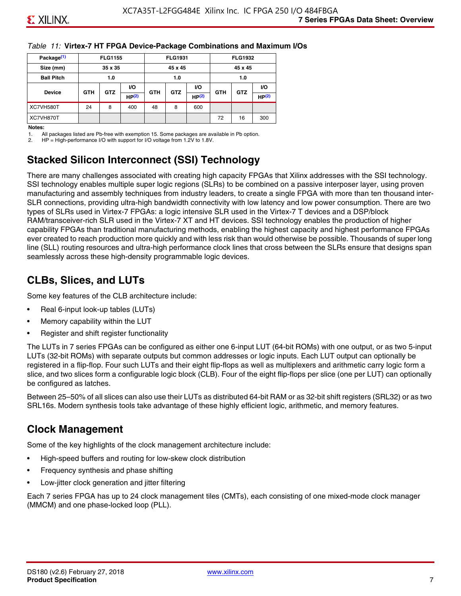#### *Table 11:* **Virtex-7 HT FPGA Device-Package Combinations and Maximum I/Os**

| Package <sup>(1)</sup> |            | <b>FLG1155</b> |       |            | <b>FLG1931</b> |                   |            | <b>FLG1932</b> |                   |
|------------------------|------------|----------------|-------|------------|----------------|-------------------|------------|----------------|-------------------|
| Size (mm)              |            | 35 x 35        |       |            | 45 x 45        |                   |            | 45 x 45        |                   |
| <b>Ball Pitch</b>      |            | 1.0            |       |            | 1.0            |                   |            | 1.0            |                   |
|                        |            |                | VO.   |            |                | <b>VO</b>         |            |                | VO.               |
| <b>Device</b>          | <b>GTH</b> | <b>GTZ</b>     | HP(2) | <b>GTH</b> | <b>GTZ</b>     | HP <sup>(2)</sup> | <b>GTH</b> | <b>GTZ</b>     | HP <sup>(2)</sup> |
| XC7VH580T              | 24         | 8              | 400   | 48         | 8              | 600               |            |                |                   |
| XC7VH870T              |            |                |       |            |                |                   | 72         | 16             | 300               |

#### **Notes:**

1. All packages listed are Pb-free with exemption 15. Some packages are available in Pb option.

2. HP = High-performance I/O with support for I/O voltage from 1.2V to 1.8V.

# **Stacked Silicon Interconnect (SSI) Technology**

There are many challenges associated with creating high capacity FPGAs that Xilinx addresses with the SSI technology. SSI technology enables multiple super logic regions (SLRs) to be combined on a passive interposer layer, using proven manufacturing and assembly techniques from industry leaders, to create a single FPGA with more than ten thousand inter-SLR connections, providing ultra-high bandwidth connectivity with low latency and low power consumption. There are two types of SLRs used in Virtex-7 FPGAs: a logic intensive SLR used in the Virtex-7 T devices and a DSP/block RAM/transceiver-rich SLR used in the Virtex-7 XT and HT devices. SSI technology enables the production of higher capability FPGAs than traditional manufacturing methods, enabling the highest capacity and highest performance FPGAs ever created to reach production more quickly and with less risk than would otherwise be possible. Thousands of super long line (SLL) routing resources and ultra-high performance clock lines that cross between the SLRs ensure that designs span seamlessly across these high-density programmable logic devices.

# **CLBs, Slices, and LUTs**

Some key features of the CLB architecture include:

- Real 6-input look-up tables (LUTs)
- Memory capability within the LUT
- Register and shift register functionality

The LUTs in 7 series FPGAs can be configured as either one 6-input LUT (64-bit ROMs) with one output, or as two 5-input LUTs (32-bit ROMs) with separate outputs but common addresses or logic inputs. Each LUT output can optionally be registered in a flip-flop. Four such LUTs and their eight flip-flops as well as multiplexers and arithmetic carry logic form a slice, and two slices form a configurable logic block (CLB). Four of the eight flip-flops per slice (one per LUT) can optionally be configured as latches.

Between 25–50% of all slices can also use their LUTs as distributed 64-bit RAM or as 32-bit shift registers (SRL32) or as two SRL16s. Modern synthesis tools take advantage of these highly efficient logic, arithmetic, and memory features.

# **Clock Management**

Some of the key highlights of the clock management architecture include:

- High-speed buffers and routing for low-skew clock distribution
- Frequency synthesis and phase shifting
- Low-jitter clock generation and jitter filtering

Each 7 series FPGA has up to 24 clock management tiles (CMTs), each consisting of one mixed-mode clock manager (MMCM) and one phase-locked loop (PLL).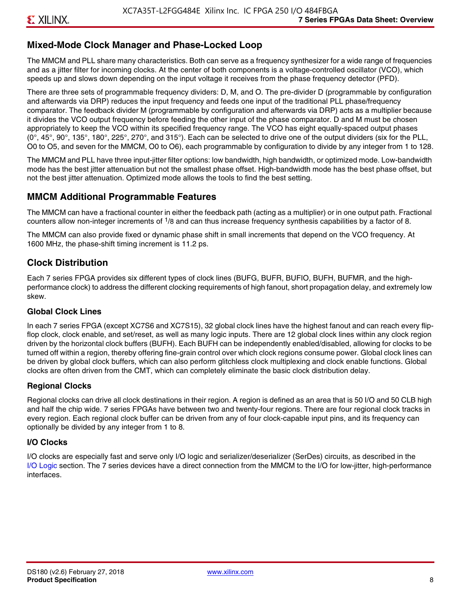### **Mixed-Mode Clock Manager and Phase-Locked Loop**

The MMCM and PLL share many characteristics. Both can serve as a frequency synthesizer for a wide range of frequencies and as a jitter filter for incoming clocks. At the center of both components is a voltage-controlled oscillator (VCO), which speeds up and slows down depending on the input voltage it receives from the phase frequency detector (PFD).

There are three sets of programmable frequency dividers: D, M, and O. The pre-divider D (programmable by configuration and afterwards via DRP) reduces the input frequency and feeds one input of the traditional PLL phase/frequency comparator. The feedback divider M (programmable by configuration and afterwards via DRP) acts as a multiplier because it divides the VCO output frequency before feeding the other input of the phase comparator. D and M must be chosen appropriately to keep the VCO within its specified frequency range. The VCO has eight equally-spaced output phases  $(0^\circ, 45^\circ, 90^\circ, 135^\circ, 180^\circ, 225^\circ, 270^\circ,$  and  $315^\circ$ ). Each can be selected to drive one of the output dividers (six for the PLL, O0 to O5, and seven for the MMCM, O0 to O6), each programmable by configuration to divide by any integer from 1 to 128.

The MMCM and PLL have three input-jitter filter options: low bandwidth, high bandwidth, or optimized mode. Low-bandwidth mode has the best jitter attenuation but not the smallest phase offset. High-bandwidth mode has the best phase offset, but not the best jitter attenuation. Optimized mode allows the tools to find the best setting.

#### **MMCM Additional Programmable Features**

The MMCM can have a fractional counter in either the feedback path (acting as a multiplier) or in one output path. Fractional counters allow non-integer increments of  $1/8$  and can thus increase frequency synthesis capabilities by a factor of 8.

The MMCM can also provide fixed or dynamic phase shift in small increments that depend on the VCO frequency. At 1600 MHz, the phase-shift timing increment is 11.2 ps.

#### **Clock Distribution**

Each 7 series FPGA provides six different types of clock lines (BUFG, BUFR, BUFIO, BUFH, BUFMR, and the highperformance clock) to address the different clocking requirements of high fanout, short propagation delay, and extremely low skew.

#### **Global Clock Lines**

In each 7 series FPGA (except XC7S6 and XC7S15), 32 global clock lines have the highest fanout and can reach every flipflop clock, clock enable, and set/reset, as well as many logic inputs. There are 12 global clock lines within any clock region driven by the horizontal clock buffers (BUFH). Each BUFH can be independently enabled/disabled, allowing for clocks to be turned off within a region, thereby offering fine-grain control over which clock regions consume power. Global clock lines can be driven by global clock buffers, which can also perform glitchless clock multiplexing and clock enable functions. Global clocks are often driven from the CMT, which can completely eliminate the basic clock distribution delay.

#### **Regional Clocks**

Regional clocks can drive all clock destinations in their region. A region is defined as an area that is 50 I/O and 50 CLB high and half the chip wide. 7 series FPGAs have between two and twenty-four regions. There are four regional clock tracks in every region. Each regional clock buffer can be driven from any of four clock-capable input pins, and its frequency can optionally be divided by any integer from 1 to 8.

#### **I/O Clocks**

I/O clocks are especially fast and serve only I/O logic and serializer/deserializer (SerDes) circuits, as described in the I/O Logic section. The 7 series devices have a direct connection from the MMCM to the I/O for low-jitter, high-performance interfaces.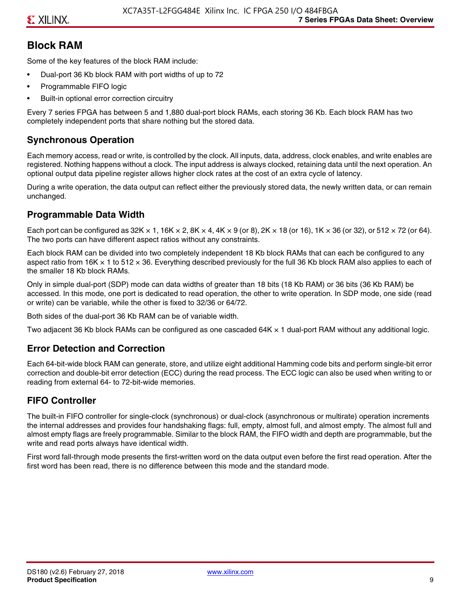# **Block RAM**

Some of the key features of the block RAM include:

- Dual-port 36 Kb block RAM with port widths of up to 72
- Programmable FIFO logic
- Built-in optional error correction circuitry

Every 7 series FPGA has between 5 and 1,880 dual-port block RAMs, each storing 36 Kb. Each block RAM has two completely independent ports that share nothing but the stored data.

# **Synchronous Operation**

Each memory access, read or write, is controlled by the clock. All inputs, data, address, clock enables, and write enables are registered. Nothing happens without a clock. The input address is always clocked, retaining data until the next operation. An optional output data pipeline register allows higher clock rates at the cost of an extra cycle of latency.

During a write operation, the data output can reflect either the previously stored data, the newly written data, or can remain unchanged.

# **Programmable Data Width**

Each port can be configured as 32K  $\times$  1, 16K  $\times$  2, 8K  $\times$  4, 4K  $\times$  9 (or 8), 2K  $\times$  18 (or 16), 1K  $\times$  36 (or 32), or 512  $\times$  72 (or 64). The two ports can have different aspect ratios without any constraints.

Each block RAM can be divided into two completely independent 18 Kb block RAMs that can each be configured to any aspect ratio from 16K  $\times$  1 to 512  $\times$  36. Everything described previously for the full 36 Kb block RAM also applies to each of the smaller 18 Kb block RAMs.

Only in simple dual-port (SDP) mode can data widths of greater than 18 bits (18 Kb RAM) or 36 bits (36 Kb RAM) be accessed. In this mode, one port is dedicated to read operation, the other to write operation. In SDP mode, one side (read or write) can be variable, while the other is fixed to 32/36 or 64/72.

Both sides of the dual-port 36 Kb RAM can be of variable width.

Two adjacent 36 Kb block RAMs can be configured as one cascaded 64K × 1 dual-port RAM without any additional logic.

# **Error Detection and Correction**

Each 64-bit-wide block RAM can generate, store, and utilize eight additional Hamming code bits and perform single-bit error correction and double-bit error detection (ECC) during the read process. The ECC logic can also be used when writing to or reading from external 64- to 72-bit-wide memories.

# **FIFO Controller**

The built-in FIFO controller for single-clock (synchronous) or dual-clock (asynchronous or multirate) operation increments the internal addresses and provides four handshaking flags: full, empty, almost full, and almost empty. The almost full and almost empty flags are freely programmable. Similar to the block RAM, the FIFO width and depth are programmable, but the write and read ports always have identical width.

First word fall-through mode presents the first-written word on the data output even before the first read operation. After the first word has been read, there is no difference between this mode and the standard mode.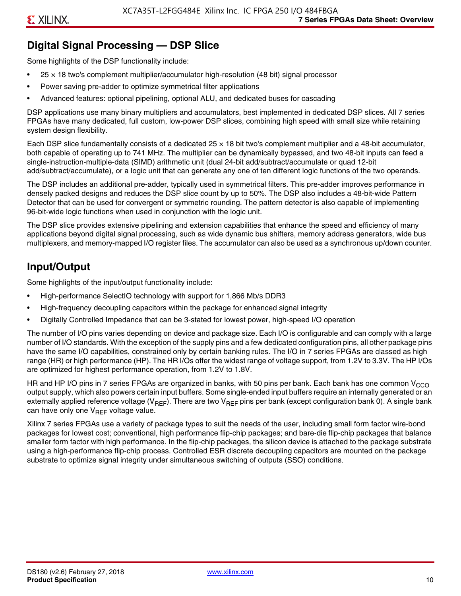# **Digital Signal Processing — DSP Slice**

Some highlights of the DSP functionality include:

- $25 \times 18$  two's complement multiplier/accumulator high-resolution (48 bit) signal processor
- Power saving pre-adder to optimize symmetrical filter applications
- Advanced features: optional pipelining, optional ALU, and dedicated buses for cascading

DSP applications use many binary multipliers and accumulators, best implemented in dedicated DSP slices. All 7 series FPGAs have many dedicated, full custom, low-power DSP slices, combining high speed with small size while retaining system design flexibility.

Each DSP slice fundamentally consists of a dedicated 25 × 18 bit two's complement multiplier and a 48-bit accumulator, both capable of operating up to 741 MHz. The multiplier can be dynamically bypassed, and two 48-bit inputs can feed a single-instruction-multiple-data (SIMD) arithmetic unit (dual 24-bit add/subtract/accumulate or quad 12-bit add/subtract/accumulate), or a logic unit that can generate any one of ten different logic functions of the two operands.

The DSP includes an additional pre-adder, typically used in symmetrical filters. This pre-adder improves performance in densely packed designs and reduces the DSP slice count by up to 50%. The DSP also includes a 48-bit-wide Pattern Detector that can be used for convergent or symmetric rounding. The pattern detector is also capable of implementing 96-bit-wide logic functions when used in conjunction with the logic unit.

The DSP slice provides extensive pipelining and extension capabilities that enhance the speed and efficiency of many applications beyond digital signal processing, such as wide dynamic bus shifters, memory address generators, wide bus multiplexers, and memory-mapped I/O register files. The accumulator can also be used as a synchronous up/down counter.

# **Input/Output**

Some highlights of the input/output functionality include:

- High-performance SelectIO technology with support for 1,866 Mb/s DDR3
- High-frequency decoupling capacitors within the package for enhanced signal integrity
- Digitally Controlled Impedance that can be 3-stated for lowest power, high-speed I/O operation

The number of I/O pins varies depending on device and package size. Each I/O is configurable and can comply with a large number of I/O standards. With the exception of the supply pins and a few dedicated configuration pins, all other package pins have the same I/O capabilities, constrained only by certain banking rules. The I/O in 7 series FPGAs are classed as high range (HR) or high performance (HP). The HR I/Os offer the widest range of voltage support, from 1.2V to 3.3V. The HP I/Os are optimized for highest performance operation, from 1.2V to 1.8V.

HR and HP I/O pins in 7 series FPGAs are organized in banks, with 50 pins per bank. Each bank has one common V<sub>CCO</sub> output supply, which also powers certain input buffers. Some single-ended input buffers require an internally generated or an externally applied reference voltage ( $V_{RFF}$ ). There are two  $V_{RFF}$  pins per bank (except configuration bank 0). A single bank can have only one  $V_{\text{RFF}}$  voltage value.

Xilinx 7 series FPGAs use a variety of package types to suit the needs of the user, including small form factor wire-bond packages for lowest cost; conventional, high performance flip-chip packages; and bare-die flip-chip packages that balance smaller form factor with high performance. In the flip-chip packages, the silicon device is attached to the package substrate using a high-performance flip-chip process. Controlled ESR discrete decoupling capacitors are mounted on the package substrate to optimize signal integrity under simultaneous switching of outputs (SSO) conditions.

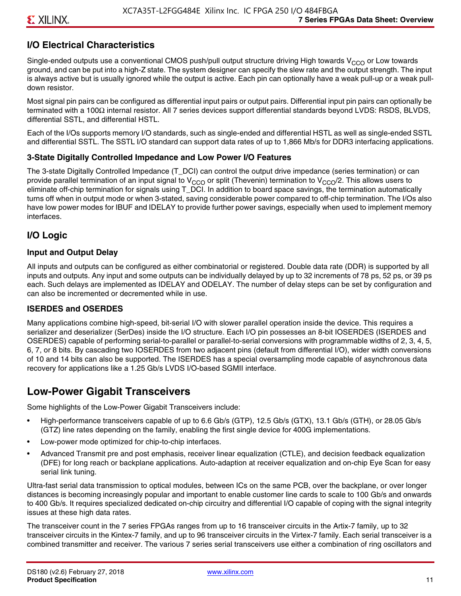## **I/O Electrical Characteristics**

Single-ended outputs use a conventional CMOS push/pull output structure driving High towards  $V_{CCO}$  or Low towards ground, and can be put into a high-Z state. The system designer can specify the slew rate and the output strength. The input is always active but is usually ignored while the output is active. Each pin can optionally have a weak pull-up or a weak pulldown resistor.

Most signal pin pairs can be configured as differential input pairs or output pairs. Differential input pin pairs can optionally be terminated with a 100Ω internal resistor. All 7 series devices support differential standards beyond LVDS: RSDS, BLVDS, differential SSTL, and differential HSTL.

Each of the I/Os supports memory I/O standards, such as single-ended and differential HSTL as well as single-ended SSTL and differential SSTL. The SSTL I/O standard can support data rates of up to 1,866 Mb/s for DDR3 interfacing applications.

#### **3-State Digitally Controlled Impedance and Low Power I/O Features**

The 3-state Digitally Controlled Impedance (T\_DCI) can control the output drive impedance (series termination) or can provide parallel termination of an input signal to V<sub>CCO</sub> or split (Thevenin) termination to V<sub>CCO</sub>/2. This allows users to eliminate off-chip termination for signals using T\_DCI. In addition to board space savings, the termination automatically turns off when in output mode or when 3-stated, saving considerable power compared to off-chip termination. The I/Os also have low power modes for IBUF and IDELAY to provide further power savings, especially when used to implement memory interfaces.

#### **I/O Logic**

#### **Input and Output Delay**

All inputs and outputs can be configured as either combinatorial or registered. Double data rate (DDR) is supported by all inputs and outputs. Any input and some outputs can be individually delayed by up to 32 increments of 78 ps, 52 ps, or 39 ps each. Such delays are implemented as IDELAY and ODELAY. The number of delay steps can be set by configuration and can also be incremented or decremented while in use.

#### **ISERDES and OSERDES**

Many applications combine high-speed, bit-serial I/O with slower parallel operation inside the device. This requires a serializer and deserializer (SerDes) inside the I/O structure. Each I/O pin possesses an 8-bit IOSERDES (ISERDES and OSERDES) capable of performing serial-to-parallel or parallel-to-serial conversions with programmable widths of 2, 3, 4, 5, 6, 7, or 8 bits. By cascading two IOSERDES from two adjacent pins (default from differential I/O), wider width conversions of 10 and 14 bits can also be supported. The ISERDES has a special oversampling mode capable of asynchronous data recovery for applications like a 1.25 Gb/s LVDS I/O-based SGMII interface.

# **Low-Power Gigabit Transceivers**

Some highlights of the Low-Power Gigabit Transceivers include:

- High-performance transceivers capable of up to 6.6 Gb/s (GTP), 12.5 Gb/s (GTX), 13.1 Gb/s (GTH), or 28.05 Gb/s (GTZ) line rates depending on the family, enabling the first single device for 400G implementations.
- Low-power mode optimized for chip-to-chip interfaces.
- Advanced Transmit pre and post emphasis, receiver linear equalization (CTLE), and decision feedback equalization (DFE) for long reach or backplane applications. Auto-adaption at receiver equalization and on-chip Eye Scan for easy serial link tuning.

Ultra-fast serial data transmission to optical modules, between ICs on the same PCB, over the backplane, or over longer distances is becoming increasingly popular and important to enable customer line cards to scale to 100 Gb/s and onwards to 400 Gb/s. It requires specialized dedicated on-chip circuitry and differential I/O capable of coping with the signal integrity issues at these high data rates.

The transceiver count in the 7 series FPGAs ranges from up to 16 transceiver circuits in the Artix-7 family, up to 32 transceiver circuits in the Kintex-7 family, and up to 96 transceiver circuits in the Virtex-7 family. Each serial transceiver is a combined transmitter and receiver. The various 7 series serial transceivers use either a combination of ring oscillators and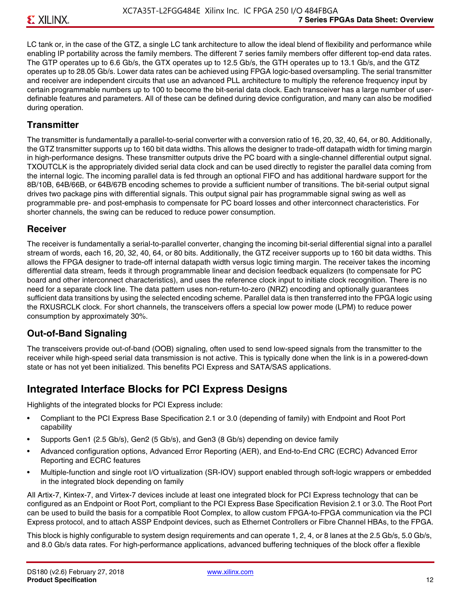LC tank or, in the case of the GTZ, a single LC tank architecture to allow the ideal blend of flexibility and performance while enabling IP portability across the family members. The different 7 series family members offer different top-end data rates. The GTP operates up to 6.6 Gb/s, the GTX operates up to 12.5 Gb/s, the GTH operates up to 13.1 Gb/s, and the GTZ operates up to 28.05 Gb/s. Lower data rates can be achieved using FPGA logic-based oversampling. The serial transmitter and receiver are independent circuits that use an advanced PLL architecture to multiply the reference frequency input by certain programmable numbers up to 100 to become the bit-serial data clock. Each transceiver has a large number of userdefinable features and parameters. All of these can be defined during device configuration, and many can also be modified during operation.

#### **Transmitter**

The transmitter is fundamentally a parallel-to-serial converter with a conversion ratio of 16, 20, 32, 40, 64, or 80. Additionally, the GTZ transmitter supports up to 160 bit data widths. This allows the designer to trade-off datapath width for timing margin in high-performance designs. These transmitter outputs drive the PC board with a single-channel differential output signal. TXOUTCLK is the appropriately divided serial data clock and can be used directly to register the parallel data coming from the internal logic. The incoming parallel data is fed through an optional FIFO and has additional hardware support for the 8B/10B, 64B/66B, or 64B/67B encoding schemes to provide a sufficient number of transitions. The bit-serial output signal drives two package pins with differential signals. This output signal pair has programmable signal swing as well as programmable pre- and post-emphasis to compensate for PC board losses and other interconnect characteristics. For shorter channels, the swing can be reduced to reduce power consumption.

#### **Receiver**

The receiver is fundamentally a serial-to-parallel converter, changing the incoming bit-serial differential signal into a parallel stream of words, each 16, 20, 32, 40, 64, or 80 bits. Additionally, the GTZ receiver supports up to 160 bit data widths. This allows the FPGA designer to trade-off internal datapath width versus logic timing margin. The receiver takes the incoming differential data stream, feeds it through programmable linear and decision feedback equalizers (to compensate for PC board and other interconnect characteristics), and uses the reference clock input to initiate clock recognition. There is no need for a separate clock line. The data pattern uses non-return-to-zero (NRZ) encoding and optionally guarantees sufficient data transitions by using the selected encoding scheme. Parallel data is then transferred into the FPGA logic using the RXUSRCLK clock. For short channels, the transceivers offers a special low power mode (LPM) to reduce power consumption by approximately 30%.

#### **Out-of-Band Signaling**

The transceivers provide out-of-band (OOB) signaling, often used to send low-speed signals from the transmitter to the receiver while high-speed serial data transmission is not active. This is typically done when the link is in a powered-down state or has not yet been initialized. This benefits PCI Express and SATA/SAS applications.

# **Integrated Interface Blocks for PCI Express Designs**

Highlights of the integrated blocks for PCI Express include:

- Compliant to the PCI Express Base Specification 2.1 or 3.0 (depending of family) with Endpoint and Root Port capability
- Supports Gen1 (2.5 Gb/s), Gen2 (5 Gb/s), and Gen3 (8 Gb/s) depending on device family
- Advanced configuration options, Advanced Error Reporting (AER), and End-to-End CRC (ECRC) Advanced Error Reporting and ECRC features
- Multiple-function and single root I/O virtualization (SR-IOV) support enabled through soft-logic wrappers or embedded in the integrated block depending on family

All Artix-7, Kintex-7, and Virtex-7 devices include at least one integrated block for PCI Express technology that can be configured as an Endpoint or Root Port, compliant to the PCI Express Base Specification Revision 2.1 or 3.0. The Root Port can be used to build the basis for a compatible Root Complex, to allow custom FPGA-to-FPGA communication via the PCI Express protocol, and to attach ASSP Endpoint devices, such as Ethernet Controllers or Fibre Channel HBAs, to the FPGA.

This block is highly configurable to system design requirements and can operate 1, 2, 4, or 8 lanes at the 2.5 Gb/s, 5.0 Gb/s, and 8.0 Gb/s data rates. For high-performance applications, advanced buffering techniques of the block offer a flexible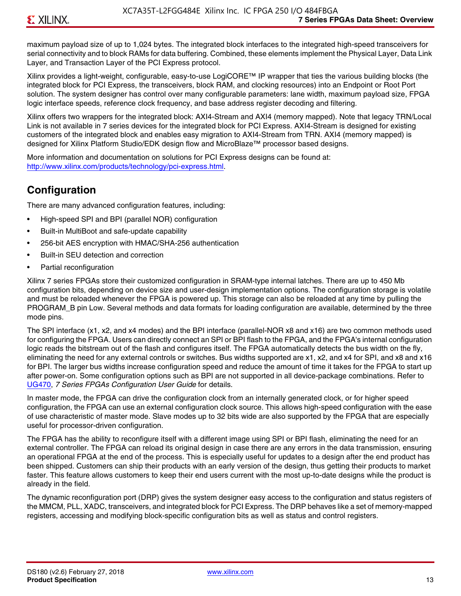maximum payload size of up to 1,024 bytes. The integrated block interfaces to the integrated high-speed transceivers for serial connectivity and to block RAMs for data buffering. Combined, these elements implement the Physical Layer, Data Link Layer, and Transaction Layer of the PCI Express protocol.

Xilinx provides a light-weight, configurable, easy-to-use LogiCORE™ IP wrapper that ties the various building blocks (the integrated block for PCI Express, the transceivers, block RAM, and clocking resources) into an Endpoint or Root Port solution. The system designer has control over many configurable parameters: lane width, maximum payload size, FPGA logic interface speeds, reference clock frequency, and base address register decoding and filtering.

Xilinx offers two wrappers for the integrated block: AXI4-Stream and AXI4 (memory mapped). Note that legacy TRN/Local Link is not available in 7 series devices for the integrated block for PCI Express. AXI4-Stream is designed for existing customers of the integrated block and enables easy migration to AXI4-Stream from TRN. AXI4 (memory mapped) is designed for Xilinx Platform Studio/EDK design flow and MicroBlaze™ processor based designs.

More information and documentation on solutions for PCI Express designs can be found at: <http://www.xilinx.com/products/technology/pci-express.html>.

# **Configuration**

There are many advanced configuration features, including:

- High-speed SPI and BPI (parallel NOR) configuration
- Built-in MultiBoot and safe-update capability
- 256-bit AES encryption with HMAC/SHA-256 authentication
- Built-in SEU detection and correction
- Partial reconfiguration

Xilinx 7 series FPGAs store their customized configuration in SRAM-type internal latches. There are up to 450 Mb configuration bits, depending on device size and user-design implementation options. The configuration storage is volatile and must be reloaded whenever the FPGA is powered up. This storage can also be reloaded at any time by pulling the PROGRAM B pin Low. Several methods and data formats for loading configuration are available, determined by the three mode pins.

The SPI interface (x1, x2, and x4 modes) and the BPI interface (parallel-NOR x8 and x16) are two common methods used for configuring the FPGA. Users can directly connect an SPI or BPI flash to the FPGA, and the FPGA's internal configuration logic reads the bitstream out of the flash and configures itself. The FPGA automatically detects the bus width on the fly, eliminating the need for any external controls or switches. Bus widths supported are x1, x2, and x4 for SPI, and x8 and x16 for BPI. The larger bus widths increase configuration speed and reduce the amount of time it takes for the FPGA to start up after power-on. Some configuration options such as BPI are not supported in all device-package combinations. Refer to [UG470,](http://www.xilinx.com/support/documentation/user_guides/ug470_7Series_Config.pdf) *7 Series FPGAs Configuration User Guide* for details.

In master mode, the FPGA can drive the configuration clock from an internally generated clock, or for higher speed configuration, the FPGA can use an external configuration clock source. This allows high-speed configuration with the ease of use characteristic of master mode. Slave modes up to 32 bits wide are also supported by the FPGA that are especially useful for processor-driven configuration.

The FPGA has the ability to reconfigure itself with a different image using SPI or BPI flash, eliminating the need for an external controller. The FPGA can reload its original design in case there are any errors in the data transmission, ensuring an operational FPGA at the end of the process. This is especially useful for updates to a design after the end product has been shipped. Customers can ship their products with an early version of the design, thus getting their products to market faster. This feature allows customers to keep their end users current with the most up-to-date designs while the product is already in the field.

The dynamic reconfiguration port (DRP) gives the system designer easy access to the configuration and status registers of the MMCM, PLL, XADC, transceivers, and integrated block for PCI Express. The DRP behaves like a set of memory-mapped registers, accessing and modifying block-specific configuration bits as well as status and control registers.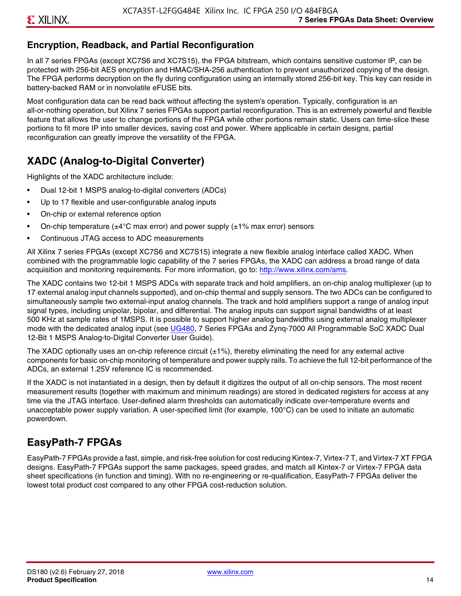## **Encryption, Readback, and Partial Reconfiguration**

In all 7 series FPGAs (except XC7S6 and XC7S15), the FPGA bitstream, which contains sensitive customer IP, can be protected with 256-bit AES encryption and HMAC/SHA-256 authentication to prevent unauthorized copying of the design. The FPGA performs decryption on the fly during configuration using an internally stored 256-bit key. This key can reside in battery-backed RAM or in nonvolatile eFUSE bits.

Most configuration data can be read back without affecting the system's operation. Typically, configuration is an all-or-nothing operation, but Xilinx 7 series FPGAs support partial reconfiguration. This is an extremely powerful and flexible feature that allows the user to change portions of the FPGA while other portions remain static. Users can time-slice these portions to fit more IP into smaller devices, saving cost and power. Where applicable in certain designs, partial reconfiguration can greatly improve the versatility of the FPGA.

# **XADC (Analog-to-Digital Converter)**

Highlights of the XADC architecture include:

- Dual 12-bit 1 MSPS analog-to-digital converters (ADCs)
- Up to 17 flexible and user-configurable analog inputs
- On-chip or external reference option
- On-chip temperature ( $\pm 4^{\circ}$ C max error) and power supply ( $\pm 1\%$  max error) sensors
- Continuous JTAG access to ADC measurements

All Xilinx 7 series FPGAs (except XC7S6 and XC7S15) integrate a new flexible analog interface called XADC. When combined with the programmable logic capability of the 7 series FPGAs, the XADC can address a broad range of data acquisition and monitoring requirements. For more information, go to: [http://www.xilinx.com/ams.](http://www.xilinx.com/ams)

The XADC contains two 12-bit 1 MSPS ADCs with separate track and hold amplifiers, an on-chip analog multiplexer (up to 17 external analog input channels supported), and on-chip thermal and supply sensors. The two ADCs can be configured to simultaneously sample two external-input analog channels. The track and hold amplifiers support a range of analog input signal types, including unipolar, bipolar, and differential. The analog inputs can support signal bandwidths of at least 500 KHz at sample rates of 1MSPS. It is possible to support higher analog bandwidths using external analog multiplexer mode with the dedicated analog input (see [UG480](http://www.xilinx.com/support/documentation/user_guides/ug480_7Series_XADC.pdf), 7 Series FPGAs and Zynq-7000 All Programmable SoC XADC Dual 12-Bit 1 MSPS Analog-to-Digital Converter User Guide)*.*

The XADC optionally uses an on-chip reference circuit  $(\pm 1\%)$ , thereby eliminating the need for any external active components for basic on-chip monitoring of temperature and power supply rails. To achieve the full 12-bit performance of the ADCs, an external 1.25V reference IC is recommended.

If the XADC is not instantiated in a design, then by default it digitizes the output of all on-chip sensors. The most recent measurement results (together with maximum and minimum readings) are stored in dedicated registers for access at any time via the JTAG interface. User-defined alarm thresholds can automatically indicate over-temperature events and unacceptable power supply variation. A user-specified limit (for example, 100°C) can be used to initiate an automatic powerdown.

# **EasyPath-7 FPGAs**

EasyPath-7 FPGAs provide a fast, simple, and risk-free solution for cost reducing Kintex-7, Virtex-7 T, and Virtex-7 XT FPGA designs. EasyPath-7 FPGAs support the same packages, speed grades, and match all Kintex-7 or Virtex-7 FPGA data sheet specifications (in function and timing). With no re-engineering or re-qualification, EasyPath-7 FPGAs deliver the lowest total product cost compared to any other FPGA cost-reduction solution.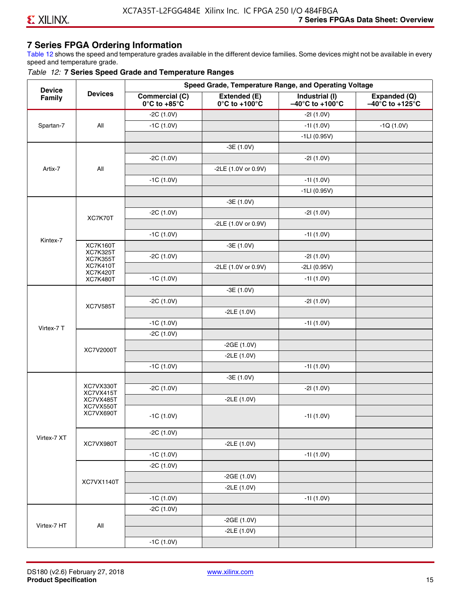# **7 Series FPGA Ordering Information**

Table 12 shows the speed and temperature grades available in the different device families. Some devices might not be available in every speed and temperature grade.

#### *Table 12:* **7 Series Speed Grade and Temperature Ranges**

| <b>Device</b> |                                    |                                                        |                                                    | Speed Grade, Temperature Range, and Operating Voltage  |                                                      |
|---------------|------------------------------------|--------------------------------------------------------|----------------------------------------------------|--------------------------------------------------------|------------------------------------------------------|
| Family        | <b>Devices</b>                     | <b>Commercial (C)</b><br>$0^\circ$ C to +85 $^\circ$ C | Extended (E)<br>$0^{\circ}$ C to +100 $^{\circ}$ C | Industrial (I)<br>$-40^{\circ}$ C to +100 $^{\circ}$ C | Expanded (Q)<br>$-40^{\circ}$ C to +125 $^{\circ}$ C |
|               |                                    | $-2C(1.0V)$                                            |                                                    | $-21(1.0V)$                                            |                                                      |
| Spartan-7     | All                                | $-1C(1.0V)$                                            |                                                    | $-11(1.0V)$                                            | $-1Q(1.0V)$                                          |
|               |                                    |                                                        |                                                    | $-1LI(0.95V)$                                          |                                                      |
|               |                                    |                                                        | $-3E(1.0V)$                                        |                                                        |                                                      |
|               |                                    | $-2C(1.0V)$                                            |                                                    | $-21(1.0V)$                                            |                                                      |
| Artix-7       | All                                |                                                        | -2LE (1.0V or 0.9V)                                |                                                        |                                                      |
|               |                                    | $-1C(1.0V)$                                            |                                                    | $-11(1.0V)$                                            |                                                      |
|               |                                    |                                                        |                                                    | $-1LI(0.95V)$                                          |                                                      |
|               |                                    |                                                        | $-3E(1.0V)$                                        |                                                        |                                                      |
|               |                                    | $-2C(1.0V)$                                            |                                                    | $-21(1.0V)$                                            |                                                      |
|               | XC7K70T                            |                                                        | -2LE (1.0V or 0.9V)                                |                                                        |                                                      |
|               |                                    | $-1C(1.0V)$                                            |                                                    | $-11(1.0V)$                                            |                                                      |
| Kintex-7      | <b>XC7K160T</b>                    |                                                        | $-3E(1.0V)$                                        |                                                        |                                                      |
|               | <b>XC7K325T</b><br><b>XC7K355T</b> | $-2C(1.0V)$                                            |                                                    | $-21(1.0V)$                                            |                                                      |
|               | <b>XC7K410T</b>                    |                                                        | -2LE (1.0V or 0.9V)                                | $-2LI(0.95V)$                                          |                                                      |
|               | <b>XC7K420T</b><br><b>XC7K480T</b> | $-1C(1.0V)$                                            |                                                    | $-11(1.0V)$                                            |                                                      |
|               |                                    |                                                        | $-3E(1.0V)$                                        |                                                        |                                                      |
|               |                                    | $-2C(1.0V)$                                            |                                                    | $-21(1.0V)$                                            |                                                      |
|               | <b>XC7V585T</b>                    |                                                        | $-2LE(1.0V)$                                       |                                                        |                                                      |
|               |                                    | $-1C(1.0V)$                                            |                                                    | $-11(1.0V)$                                            |                                                      |
| Virtex-7 T    |                                    | $-2C(1.0V)$                                            |                                                    |                                                        |                                                      |
|               |                                    |                                                        | $-2GE(1.0V)$                                       |                                                        |                                                      |
|               | XC7V2000T                          |                                                        | $-2LE(1.0V)$                                       |                                                        |                                                      |
|               |                                    | $-1C(1.0V)$                                            |                                                    | $-11(1.0V)$                                            |                                                      |
|               |                                    |                                                        | $-3E(1.0V)$                                        |                                                        |                                                      |
|               | XC7VX330T                          | $-2C(1.0V)$                                            |                                                    | $-21(1.0V)$                                            |                                                      |
|               | XC7VX415T<br>XC7VX485T             |                                                        | $-2LE(1.0V)$                                       |                                                        |                                                      |
|               | XC7VX550T<br>XC7VX690T             |                                                        |                                                    |                                                        |                                                      |
|               |                                    | $-1C(1.0V)$                                            |                                                    | -11 (1.0V)                                             |                                                      |
|               |                                    | $-2C(1.0V)$                                            |                                                    |                                                        |                                                      |
| Virtex-7 XT   | XC7VX980T                          |                                                        | $-2LE(1.0V)$                                       |                                                        |                                                      |
|               |                                    | $-1C(1.0V)$                                            |                                                    | $-11(1.0V)$                                            |                                                      |
|               |                                    | $-2C(1.0V)$                                            |                                                    |                                                        |                                                      |
|               |                                    |                                                        | $-2GE(1.0V)$                                       |                                                        |                                                      |
|               | XC7VX1140T                         |                                                        | $-2LE(1.0V)$                                       |                                                        |                                                      |
|               |                                    | $-1C(1.0V)$                                            |                                                    | $-11(1.0V)$                                            |                                                      |
|               |                                    | $-2C(1.0V)$                                            |                                                    |                                                        |                                                      |
|               |                                    |                                                        | $-2GE(1.0V)$                                       |                                                        |                                                      |
| Virtex-7 HT   | All                                |                                                        | $-2LE(1.0V)$                                       |                                                        |                                                      |
|               |                                    | $-1C(1.0V)$                                            |                                                    |                                                        |                                                      |
|               |                                    |                                                        |                                                    |                                                        |                                                      |

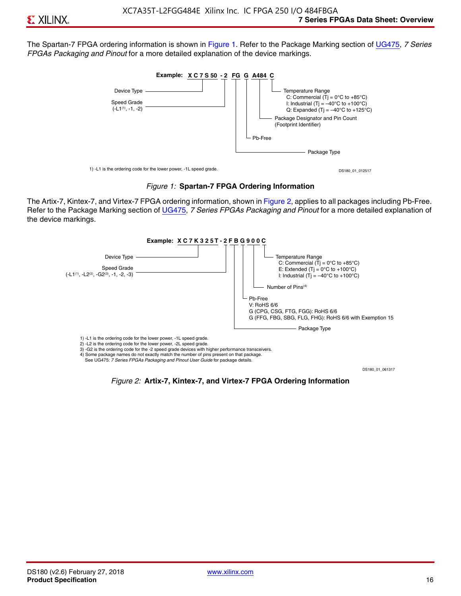The Spartan-7 FPGA ordering information is shown in Figure 1. Refer to the Package Marking section of [UG475,](http://www.xilinx.com/support/documentation/user_guides/ug475_7Series_Pkg_Pinout.pdf) *7 Series FPGAs Packaging and Pinout* for a more detailed explanation of the device markings.





The Artix-7, Kintex-7, and Virtex-7 FPGA ordering information, shown in Figure 2, applies to all packages including Pb-Free. Refer to the Package Marking section of [UG475](http://www.xilinx.com/support/documentation/user_guides/ug475_7Series_Pkg_Pinout.pdf), *7 Series FPGAs Packaging and Pinout* for a more detailed explanation of the device markings.



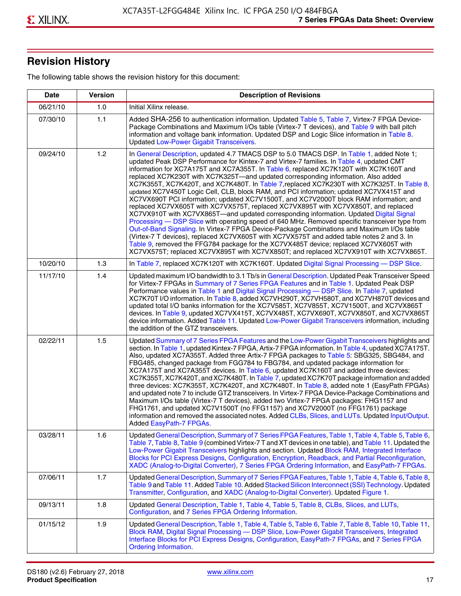# **Revision History**

The following table shows the revision history for this document:

| <b>Date</b> | <b>Version</b> | <b>Description of Revisions</b>                                                                                                                                                                                                                                                                                                                                                                                                                                                                                                                                                                                                                                                                                                                                                                                                                                                                                                                                                                                                                                                                                                                                                                                                                                                                                       |
|-------------|----------------|-----------------------------------------------------------------------------------------------------------------------------------------------------------------------------------------------------------------------------------------------------------------------------------------------------------------------------------------------------------------------------------------------------------------------------------------------------------------------------------------------------------------------------------------------------------------------------------------------------------------------------------------------------------------------------------------------------------------------------------------------------------------------------------------------------------------------------------------------------------------------------------------------------------------------------------------------------------------------------------------------------------------------------------------------------------------------------------------------------------------------------------------------------------------------------------------------------------------------------------------------------------------------------------------------------------------------|
| 06/21/10    | 1.0            | Initial Xilinx release.                                                                                                                                                                                                                                                                                                                                                                                                                                                                                                                                                                                                                                                                                                                                                                                                                                                                                                                                                                                                                                                                                                                                                                                                                                                                                               |
| 07/30/10    | 1.1            | Added SHA-256 to authentication information. Updated Table 5, Table 7, Virtex-7 FPGA Device-<br>Package Combinations and Maximum I/Os table (Virtex-7 T devices), and Table 9 with ball pitch<br>information and voltage bank information. Updated DSP and Logic Slice information in Table 8.<br><b>Updated Low-Power Gigabit Transceivers.</b>                                                                                                                                                                                                                                                                                                                                                                                                                                                                                                                                                                                                                                                                                                                                                                                                                                                                                                                                                                      |
| 09/24/10    | 1.2            | In General Description, updated 4.7 TMACS DSP to 5.0 TMACS DSP. In Table 1, added Note 1;<br>updated Peak DSP Performance for Kintex-7 and Virtex-7 families. In Table 4, updated CMT<br>information for XC7A175T and XC7A355T. In Table 6, replaced XC7K120T with XC7K160T and<br>replaced XC7K230T with XC7K325T-and updated corresponding information. Also added<br>XC7K355T, XC7K420T, and XC7K480T. In Table 7, replaced XC7K230T with XC7K325T. In Table 8,<br>updated XC7V450T Logic Cell, CLB, block RAM, and PCI information; updated XC7VX415T and<br>XC7VX690T PCI information; updated XC7V1500T, and XC7V2000T block RAM information; and<br>replaced XC7VX605T with XC7VX575T, replaced XC7VX895T with XC7VX850T, and replaced<br>XC7VX910T with XC7VX865T-and updated corresponding information. Updated Digital Signal<br>Processing - DSP Slice with operating speed of 640 MHz. Removed specific transceiver type from<br>Out-of-Band Signaling. In Virtex-7 FPGA Device-Package Combinations and Maximum I/Os table<br>(Virtex-7 T devices), replaced XC7VX605T with XC7VX575T and added table notes 2 and 3. In<br>Table 9, removed the FFG784 package for the XC7VX485T device; replaced XC7VX605T with<br>XC7VX575T; replaced XC7VX895T with XC7VX850T; and replaced XC7VX910T with XC7VX865T. |
| 10/20/10    | 1.3            | In Table 7, replaced XC7K120T with XC7K160T. Updated Digital Signal Processing - DSP Slice.                                                                                                                                                                                                                                                                                                                                                                                                                                                                                                                                                                                                                                                                                                                                                                                                                                                                                                                                                                                                                                                                                                                                                                                                                           |
| 11/17/10    | 1.4            | Updated maximum I/O bandwidth to 3.1 Tb/s in General Description. Updated Peak Transceiver Speed<br>for Virtex-7 FPGAs in Summary of 7 Series FPGA Features and in Table 1. Updated Peak DSP<br>Performance values in Table 1 and Digital Signal Processing - DSP Slice. In Table 7, updated<br>XC7K70T I/O information. In Table 8, added XC7VH290T, XC7VH580T, and XC7VH870T devices and<br>updated total I/O banks information for the XC7V585T, XC7V855T, XC7V1500T, and XC7VX865T<br>devices. In Table 9, updated XC7VX415T, XC7VX485T, XC7VX690T, XC7VX850T, and XC7VX865T<br>device information. Added Table 11. Updated Low-Power Gigabit Transceivers information, including<br>the addition of the GTZ transceivers.                                                                                                                                                                                                                                                                                                                                                                                                                                                                                                                                                                                        |
| 02/22/11    | 1.5            | Updated Summary of 7 Series FPGA Features and the Low-Power Gigabit Transceivers highlights and<br>section. In Table 1, updated Kintex-7 FPGA, Artix-7 FPGA information. In Table 4, updated XC7A175T.<br>Also, updated XC7A355T. Added three Artix-7 FPGA packages to Table 5: SBG325, SBG484, and<br>FBG485, changed package from FGG784 to FBG784, and updated package information for<br>XC7A175T and XC7A355T devices. In Table 6, updated XC7K160T and added three devices:<br>XC7K355T, XC7K420T, and XC7K480T. In Table 7, updated XC7K70T package information and added<br>three devices: XC7K355T, XC7K420T, and XC7K480T. In Table 8, added note 1 (EasyPath FPGAs)<br>and updated note 7 to include GTZ transceivers. In Virtex-7 FPGA Device-Package Combinations and<br>Maximum I/Os table (Virtex-7 T devices), added two Virtex-7 FPGA packages: FHG1157 and<br>FHG1761, and updated XC7V1500T (no FFG1157) and XC7V2000T (no FFG1761) package<br>information and removed the associated notes. Added CLBs, Slices, and LUTs. Updated Input/Output.<br>Added EasyPath-7 FPGAs.                                                                                                                                                                                                                        |
| 03/28/11    | 1.6            | Updated General Description, Summary of 7 Series FPGA Features, Table 1, Table 4, Table 5, Table 6,<br>Table 7, Table 8, Table 9 (combined Virtex-7 T and XT devices in one table), and Table 11. Updated the<br>Low-Power Gigabit Transceivers highlights and section. Updated Block RAM, Integrated Interface<br>Blocks for PCI Express Designs, Configuration, Encryption, Readback, and Partial Reconfiguration,<br>XADC (Analog-to-Digital Converter), 7 Series FPGA Ordering Information, and EasyPath-7 FPGAs.                                                                                                                                                                                                                                                                                                                                                                                                                                                                                                                                                                                                                                                                                                                                                                                                 |
| 07/06/11    | 1.7            | Updated General Description, Summary of 7 Series FPGA Features, Table 1, Table 4, Table 6, Table 8,<br>Table 9 and Table 11. Added Table 10. Added Stacked Silicon Interconnect (SSI) Technology. Updated<br>Transmitter, Configuration, and XADC (Analog-to-Digital Converter). Updated Figure 1.                                                                                                                                                                                                                                                                                                                                                                                                                                                                                                                                                                                                                                                                                                                                                                                                                                                                                                                                                                                                                    |
| 09/13/11    | 1.8            | Updated General Description, Table 1, Table 4, Table 5, Table 8, CLBs, Slices, and LUTs,<br>Configuration, and 7 Series FPGA Ordering Information.                                                                                                                                                                                                                                                                                                                                                                                                                                                                                                                                                                                                                                                                                                                                                                                                                                                                                                                                                                                                                                                                                                                                                                    |
| 01/15/12    | 1.9            | Updated General Description, Table 1, Table 4, Table 5, Table 6, Table 7, Table 8, Table 10, Table 11,<br>Block RAM, Digital Signal Processing - DSP Slice, Low-Power Gigabit Transceivers, Integrated<br>Interface Blocks for PCI Express Designs, Configuration, EasyPath-7 FPGAs, and 7 Series FPGA<br><b>Ordering Information.</b>                                                                                                                                                                                                                                                                                                                                                                                                                                                                                                                                                                                                                                                                                                                                                                                                                                                                                                                                                                                |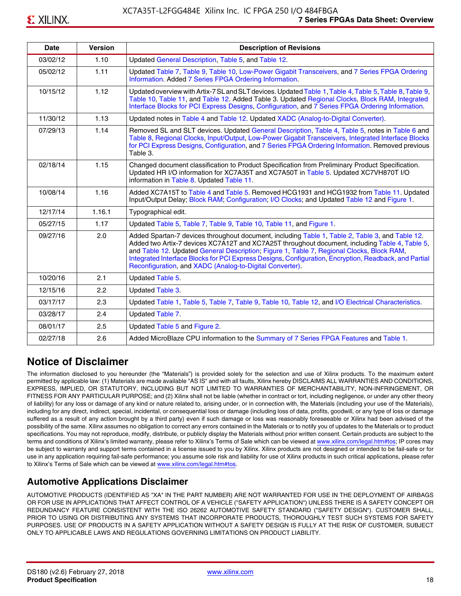| <b>Date</b> | <b>Version</b> | <b>Description of Revisions</b>                                                                                                                                                                                                                                                                                                                                                                                                                                     |
|-------------|----------------|---------------------------------------------------------------------------------------------------------------------------------------------------------------------------------------------------------------------------------------------------------------------------------------------------------------------------------------------------------------------------------------------------------------------------------------------------------------------|
| 03/02/12    | 1.10           | Updated General Description, Table 5, and Table 12.                                                                                                                                                                                                                                                                                                                                                                                                                 |
| 05/02/12    | 1.11           | Updated Table 7, Table 9, Table 10, Low-Power Gigabit Transceivers, and 7 Series FPGA Ordering<br>Information. Added 7 Series FPGA Ordering Information.                                                                                                                                                                                                                                                                                                            |
| 10/15/12    | 1.12           | Updated overview with Artix-7 SL and SLT devices. Updated Table 1, Table 4, Table 5, Table 8, Table 9,<br>Table 10, Table 11, and Table 12. Added Table 3. Updated Regional Clocks, Block RAM, Integrated<br>Interface Blocks for PCI Express Designs, Configuration, and 7 Series FPGA Ordering Information.                                                                                                                                                       |
| 11/30/12    | 1.13           | Updated notes in Table 4 and Table 12. Updated XADC (Analog-to-Digital Converter).                                                                                                                                                                                                                                                                                                                                                                                  |
| 07/29/13    | 1.14           | Removed SL and SLT devices. Updated General Description, Table 4, Table 5, notes in Table 6 and<br>Table 8, Regional Clocks, Input/Output, Low-Power Gigabit Transceivers, Integrated Interface Blocks<br>for PCI Express Designs, Configuration, and 7 Series FPGA Ordering Information. Removed previous<br>Table 3.                                                                                                                                              |
| 02/18/14    | 1.15           | Changed document classification to Product Specification from Preliminary Product Specification.<br>Updated HR I/O information for XC7A35T and XC7A50T in Table 5. Updated XC7VH870T I/O<br>information in Table 8. Updated Table 11.                                                                                                                                                                                                                               |
| 10/08/14    | 1.16           | Added XC7A15T to Table 4 and Table 5. Removed HCG1931 and HCG1932 from Table 11. Updated<br>Input/Output Delay; Block RAM; Configuration; I/O Clocks; and Updated Table 12 and Figure 1.                                                                                                                                                                                                                                                                            |
| 12/17/14    | 1.16.1         | Typographical edit.                                                                                                                                                                                                                                                                                                                                                                                                                                                 |
| 05/27/15    | 1.17           | Updated Table 5, Table 7, Table 9, Table 10, Table 11, and Figure 1.                                                                                                                                                                                                                                                                                                                                                                                                |
| 09/27/16    | 2.0            | Added Spartan-7 devices throughout document, including Table 1, Table 2, Table 3, and Table 12.<br>Added two Artix-7 devices XC7A12T and XC7A25T throughout document, including Table 4, Table 5,<br>and Table 12. Updated General Description; Figure 1, Table 7, Regional Clocks, Block RAM,<br>Integrated Interface Blocks for PCI Express Designs, Configuration, Encryption, Readback, and Partial<br>Reconfiguration, and XADC (Analog-to-Digital Converter). |
| 10/20/16    | 2.1            | Updated Table 5.                                                                                                                                                                                                                                                                                                                                                                                                                                                    |
| 12/15/16    | 2.2            | Updated Table 3.                                                                                                                                                                                                                                                                                                                                                                                                                                                    |
| 03/17/17    | 2.3            | Updated Table 1, Table 5, Table 7, Table 9, Table 10, Table 12, and I/O Electrical Characteristics.                                                                                                                                                                                                                                                                                                                                                                 |
| 03/28/17    | 2.4            | Updated Table 7.                                                                                                                                                                                                                                                                                                                                                                                                                                                    |
| 08/01/17    | 2.5            | Updated Table 5 and Figure 2.                                                                                                                                                                                                                                                                                                                                                                                                                                       |
| 02/27/18    | 2.6            | Added MicroBlaze CPU information to the Summary of 7 Series FPGA Features and Table 1.                                                                                                                                                                                                                                                                                                                                                                              |

# **Notice of Disclaimer**

The information disclosed to you hereunder (the "Materials") is provided solely for the selection and use of Xilinx products. To the maximum extent permitted by applicable law: (1) Materials are made available "AS IS" and with all faults, Xilinx hereby DISCLAIMS ALL WARRANTIES AND CONDITIONS, EXPRESS, IMPLIED, OR STATUTORY, INCLUDING BUT NOT LIMITED TO WARRANTIES OF MERCHANTABILITY, NON-INFRINGEMENT, OR FITNESS FOR ANY PARTICULAR PURPOSE; and (2) Xilinx shall not be liable (whether in contract or tort, including negligence, or under any other theory of liability) for any loss or damage of any kind or nature related to, arising under, or in connection with, the Materials (including your use of the Materials), including for any direct, indirect, special, incidental, or consequential loss or damage (including loss of data, profits, goodwill, or any type of loss or damage suffered as a result of any action brought by a third party) even if such damage or loss was reasonably foreseeable or Xilinx had been advised of the possibility of the same. Xilinx assumes no obligation to correct any errors contained in the Materials or to notify you of updates to the Materials or to product specifications. You may not reproduce, modify, distribute, or publicly display the Materials without prior written consent. Certain products are subject to the terms and conditions of Xilinx's limited warranty, please refer to Xilinx's Terms of Sale which can be viewed at [www.xilinx.com/legal.htm#tos;](www.xilinx.com/legal.htm#tos) IP cores may be subject to warranty and support terms contained in a license issued to you by Xilinx. Xilinx products are not designed or intended to be fail-safe or for use in any application requiring fail-safe performance; you assume sole risk and liability for use of Xilinx products in such critical applications, please refer to Xilinx's Terms of Sale which can be viewed at <www.xilinx.com/legal.htm#tos>.

# **Automotive Applications Disclaimer**

AUTOMOTIVE PRODUCTS (IDENTIFIED AS "XA" IN THE PART NUMBER) ARE NOT WARRANTED FOR USE IN THE DEPLOYMENT OF AIRBAGS OR FOR USE IN APPLICATIONS THAT AFFECT CONTROL OF A VEHICLE ("SAFETY APPLICATION") UNLESS THERE IS A SAFETY CONCEPT OR REDUNDANCY FEATURE CONSISTENT WITH THE ISO 26262 AUTOMOTIVE SAFETY STANDARD ("SAFETY DESIGN"). CUSTOMER SHALL, PRIOR TO USING OR DISTRIBUTING ANY SYSTEMS THAT INCORPORATE PRODUCTS, THOROUGHLY TEST SUCH SYSTEMS FOR SAFETY PURPOSES. USE OF PRODUCTS IN A SAFETY APPLICATION WITHOUT A SAFETY DESIGN IS FULLY AT THE RISK OF CUSTOMER, SUBJECT ONLY TO APPLICABLE LAWS AND REGULATIONS GOVERNING LIMITATIONS ON PRODUCT LIABILITY.